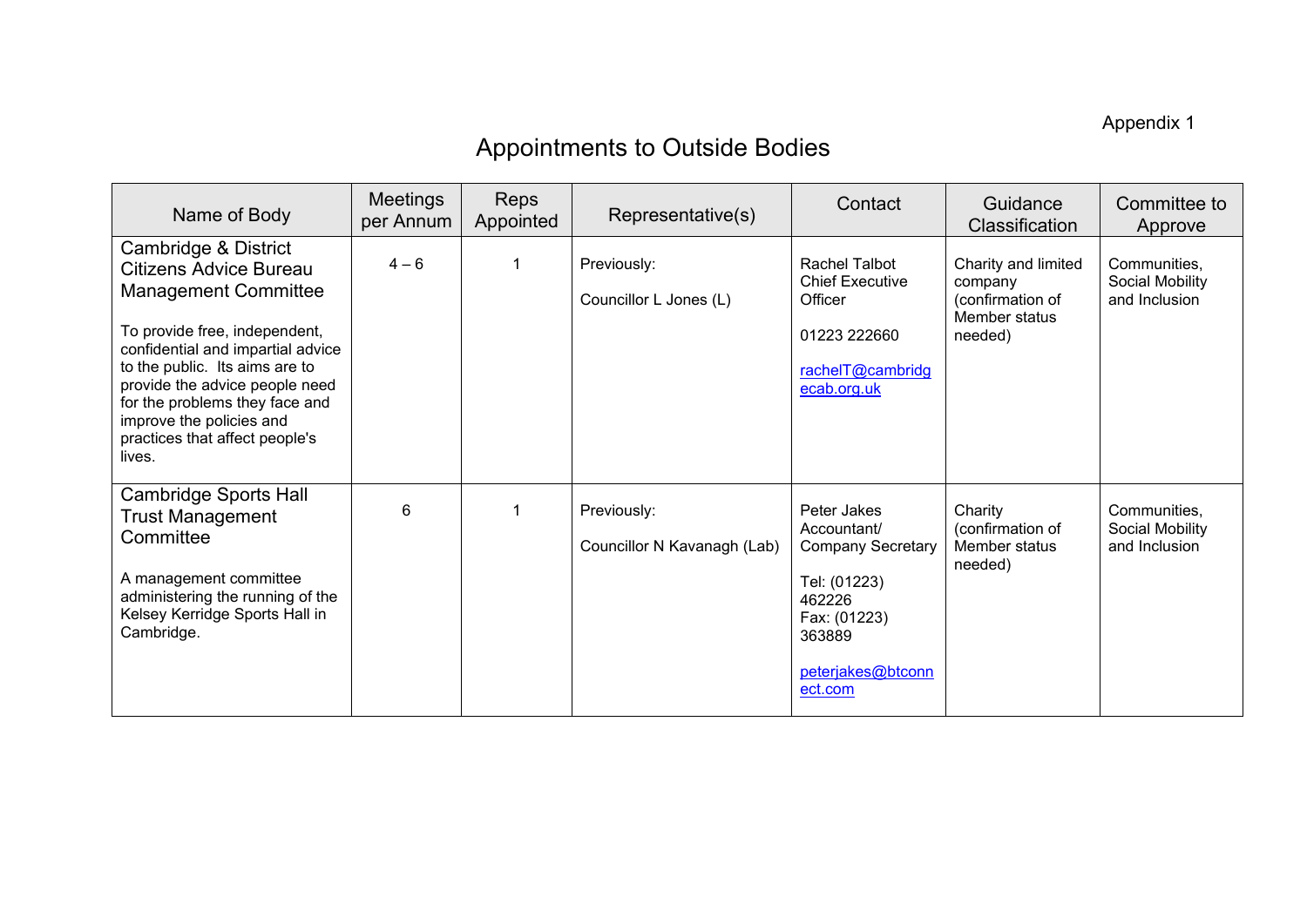Appendix 1

## Appointments to Outside Bodies

| Name of Body                                                                                                                                                                                                                                                                                                                             | <b>Meetings</b><br>per Annum | <b>Reps</b><br>Appointed | Representative(s)                          | Contact                                                                                                                                    | Guidance<br><b>Classification</b>                                              | Committee to<br>Approve                          |
|------------------------------------------------------------------------------------------------------------------------------------------------------------------------------------------------------------------------------------------------------------------------------------------------------------------------------------------|------------------------------|--------------------------|--------------------------------------------|--------------------------------------------------------------------------------------------------------------------------------------------|--------------------------------------------------------------------------------|--------------------------------------------------|
| Cambridge & District<br><b>Citizens Advice Bureau</b><br><b>Management Committee</b><br>To provide free, independent,<br>confidential and impartial advice<br>to the public. Its aims are to<br>provide the advice people need<br>for the problems they face and<br>improve the policies and<br>practices that affect people's<br>lives. | $4 - 6$                      |                          | Previously:<br>Councillor L Jones (L)      | Rachel Talbot<br><b>Chief Executive</b><br>Officer<br>01223 222660<br>rachelT@cambridg<br>ecab.org.uk                                      | Charity and limited<br>company<br>(confirmation of<br>Member status<br>needed) | Communities,<br>Social Mobility<br>and Inclusion |
| <b>Cambridge Sports Hall</b><br><b>Trust Management</b><br>Committee<br>A management committee<br>administering the running of the<br>Kelsey Kerridge Sports Hall in<br>Cambridge.                                                                                                                                                       | 6                            |                          | Previously:<br>Councillor N Kavanagh (Lab) | Peter Jakes<br>Accountant/<br><b>Company Secretary</b><br>Tel: (01223)<br>462226<br>Fax: (01223)<br>363889<br>peterjakes@btconn<br>ect.com | Charity<br>(confirmation of<br>Member status<br>needed)                        | Communities,<br>Social Mobility<br>and Inclusion |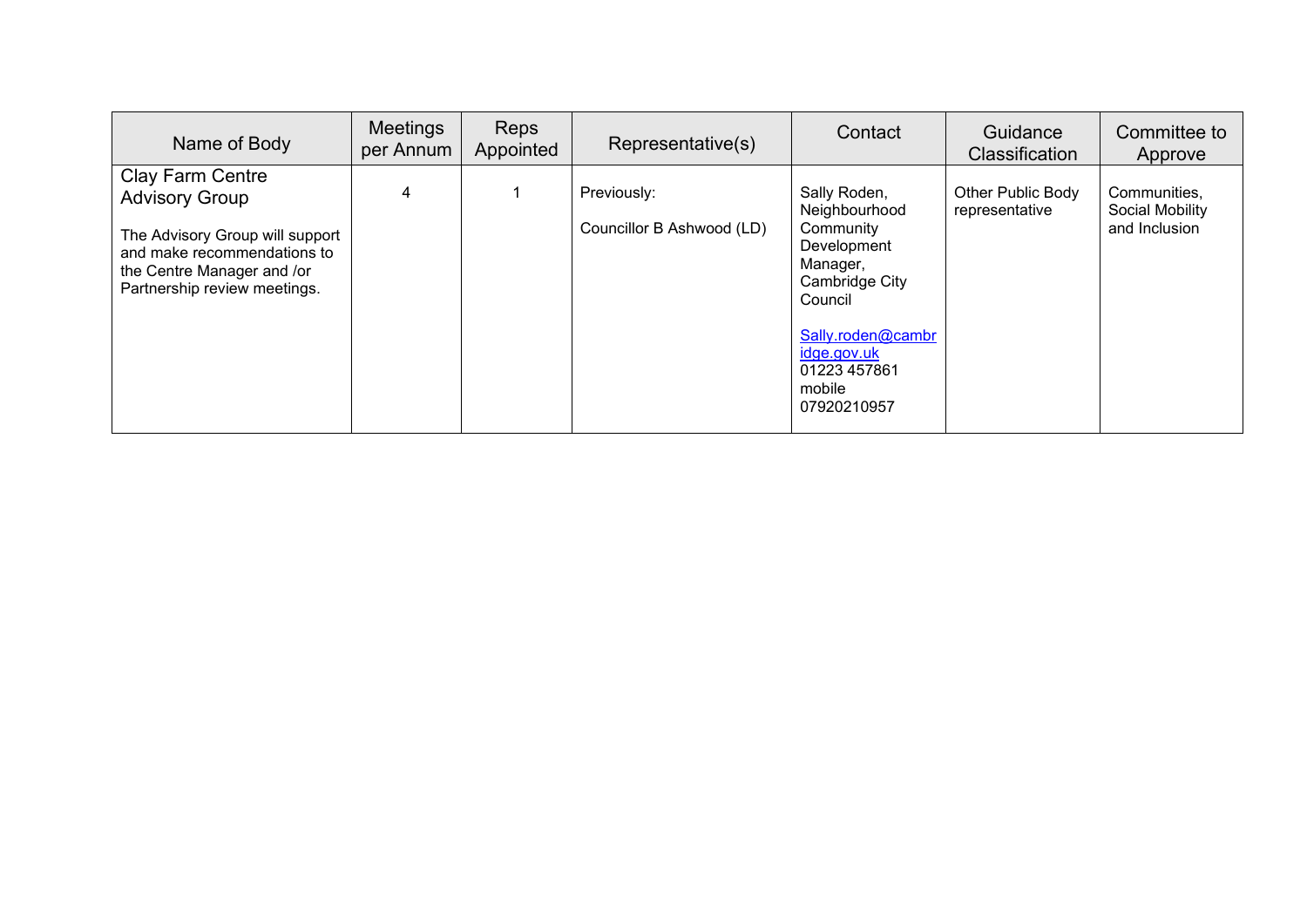| Name of Body                                                                                                                                                              | Meetings<br>per Annum | <b>Reps</b><br>Appointed | Representative(s)                        | Contact                                                                                                                                                                         | Guidance<br><b>Classification</b>   | Committee to<br>Approve                          |
|---------------------------------------------------------------------------------------------------------------------------------------------------------------------------|-----------------------|--------------------------|------------------------------------------|---------------------------------------------------------------------------------------------------------------------------------------------------------------------------------|-------------------------------------|--------------------------------------------------|
| Clay Farm Centre<br><b>Advisory Group</b><br>The Advisory Group will support<br>and make recommendations to<br>the Centre Manager and /or<br>Partnership review meetings. | 4                     |                          | Previously:<br>Councillor B Ashwood (LD) | Sally Roden,<br>Neighbourhood<br>Community<br>Development<br>Manager,<br>Cambridge City<br>Council<br>Sally.roden@cambr<br>idge.gov.uk<br>01223 457861<br>mobile<br>07920210957 | Other Public Body<br>representative | Communities,<br>Social Mobility<br>and Inclusion |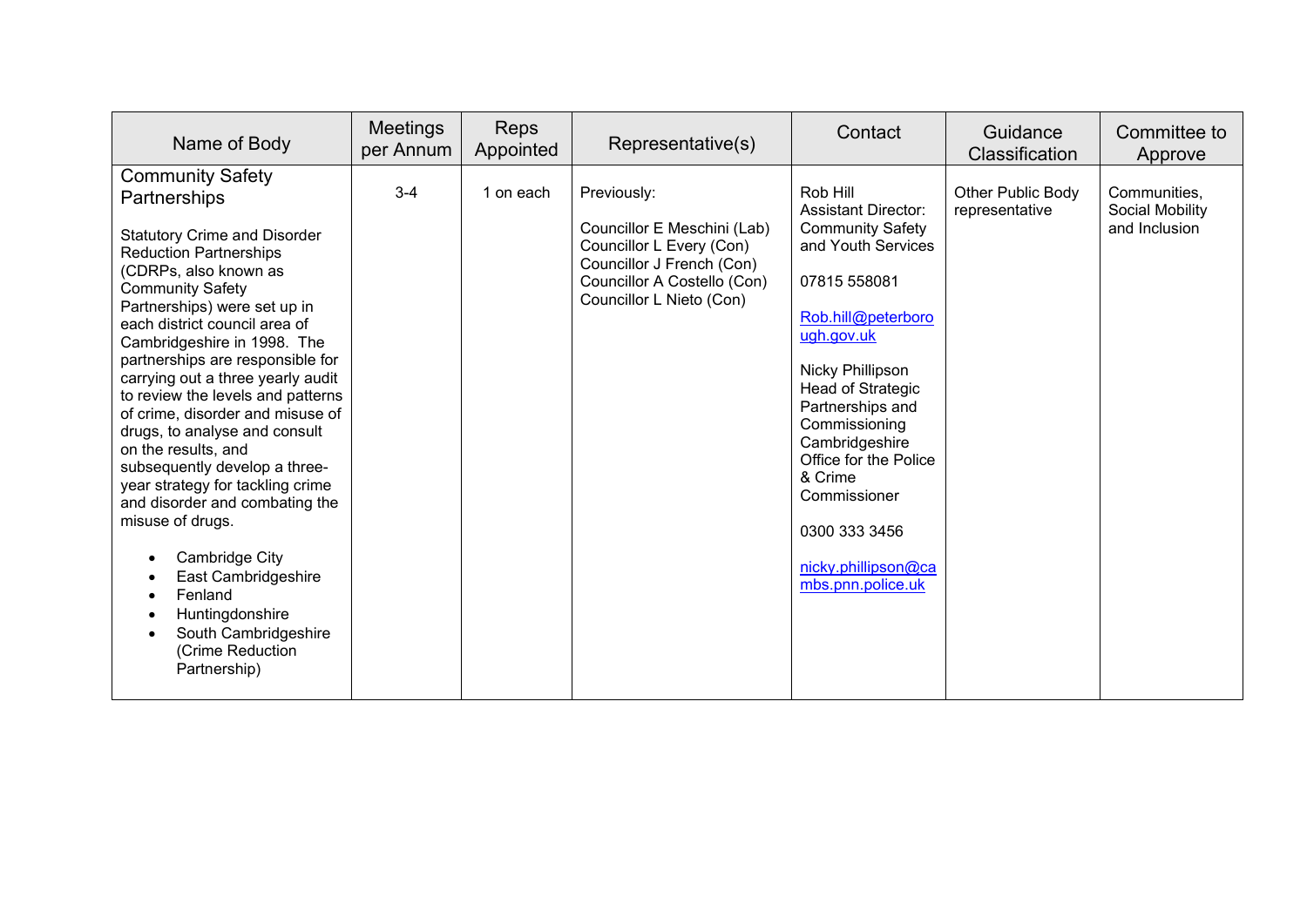| Name of Body                                                                                                                                                                                                                                                                                                                                                                                                                                                                                                                                                                                                                                                                                                                                | <b>Meetings</b><br>per Annum | <b>Reps</b><br>Appointed | Representative(s)                                                                                                                                              | Contact                                                                                                                                                                                                                                                                                                                                                      | Guidance<br>Classification          | Committee to<br>Approve                          |
|---------------------------------------------------------------------------------------------------------------------------------------------------------------------------------------------------------------------------------------------------------------------------------------------------------------------------------------------------------------------------------------------------------------------------------------------------------------------------------------------------------------------------------------------------------------------------------------------------------------------------------------------------------------------------------------------------------------------------------------------|------------------------------|--------------------------|----------------------------------------------------------------------------------------------------------------------------------------------------------------|--------------------------------------------------------------------------------------------------------------------------------------------------------------------------------------------------------------------------------------------------------------------------------------------------------------------------------------------------------------|-------------------------------------|--------------------------------------------------|
| <b>Community Safety</b><br>Partnerships<br><b>Statutory Crime and Disorder</b><br><b>Reduction Partnerships</b><br>(CDRPs, also known as<br><b>Community Safety</b><br>Partnerships) were set up in<br>each district council area of<br>Cambridgeshire in 1998. The<br>partnerships are responsible for<br>carrying out a three yearly audit<br>to review the levels and patterns<br>of crime, disorder and misuse of<br>drugs, to analyse and consult<br>on the results, and<br>subsequently develop a three-<br>year strategy for tackling crime<br>and disorder and combating the<br>misuse of drugs.<br>Cambridge City<br>East Cambridgeshire<br>Fenland<br>Huntingdonshire<br>South Cambridgeshire<br>(Crime Reduction<br>Partnership) | $3 - 4$                      | 1 on each                | Previously:<br>Councillor E Meschini (Lab)<br>Councillor L Every (Con)<br>Councillor J French (Con)<br>Councillor A Costello (Con)<br>Councillor L Nieto (Con) | Rob Hill<br><b>Assistant Director:</b><br><b>Community Safety</b><br>and Youth Services<br>07815 558081<br>Rob.hill@peterboro<br>ugh.gov.uk<br>Nicky Phillipson<br>Head of Strategic<br>Partnerships and<br>Commissioning<br>Cambridgeshire<br>Office for the Police<br>& Crime<br>Commissioner<br>0300 333 3456<br>nicky.phillipson@ca<br>mbs.pnn.police.uk | Other Public Body<br>representative | Communities,<br>Social Mobility<br>and Inclusion |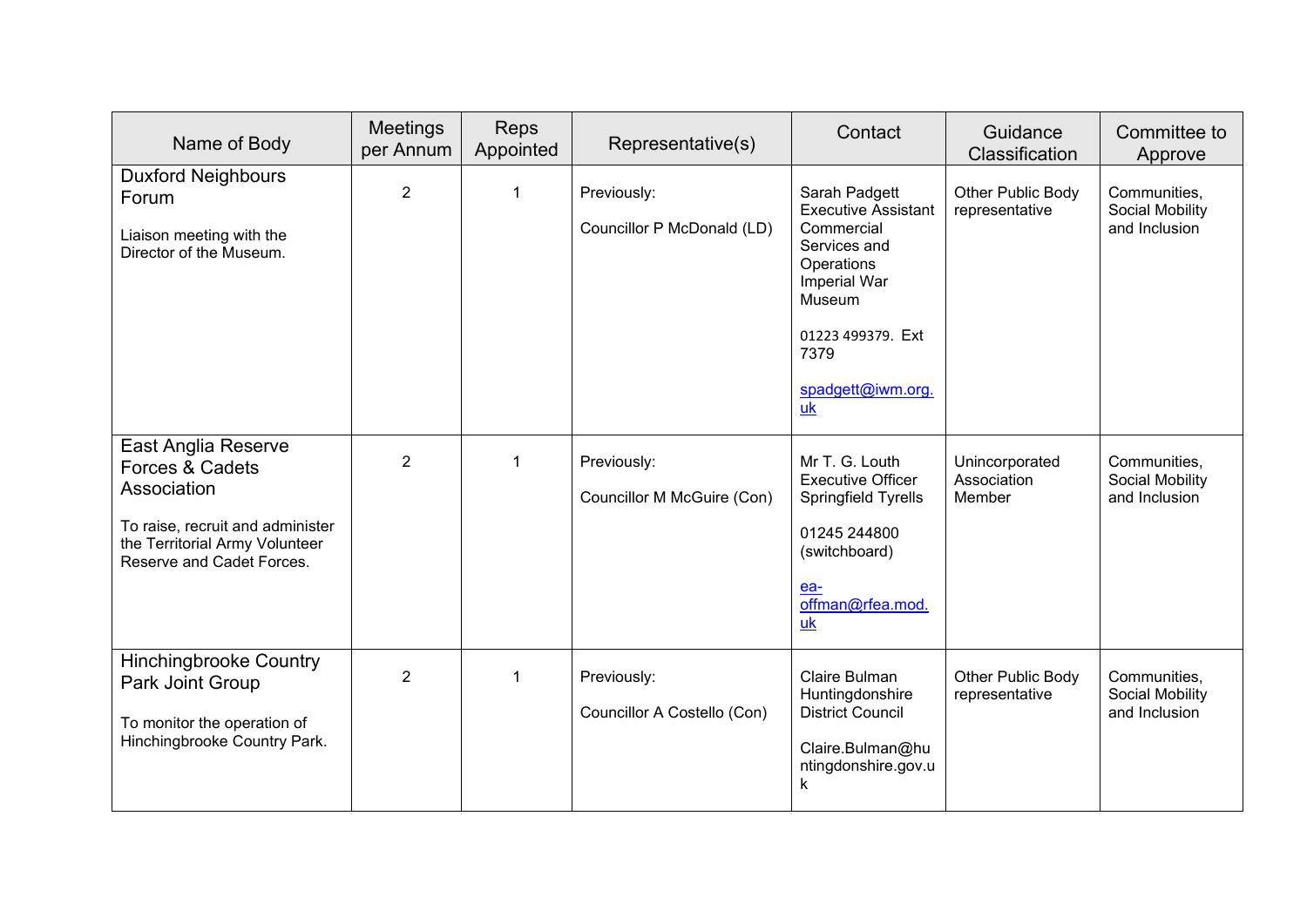| Name of Body                                                                                                                                             | Meetings<br>per Annum | Reps<br>Appointed | Representative(s)                          | Contact                                                                                                                                                                   | Guidance<br>Classification              | Committee to<br>Approve                          |
|----------------------------------------------------------------------------------------------------------------------------------------------------------|-----------------------|-------------------|--------------------------------------------|---------------------------------------------------------------------------------------------------------------------------------------------------------------------------|-----------------------------------------|--------------------------------------------------|
| <b>Duxford Neighbours</b><br>Forum<br>Liaison meeting with the<br>Director of the Museum.                                                                | $\overline{2}$        | $\overline{1}$    | Previously:<br>Councillor P McDonald (LD)  | Sarah Padgett<br><b>Executive Assistant</b><br>Commercial<br>Services and<br>Operations<br>Imperial War<br>Museum<br>01223 499379. Ext<br>7379<br>spadgett@iwm.org.<br>uk | Other Public Body<br>representative     | Communities,<br>Social Mobility<br>and Inclusion |
| East Anglia Reserve<br>Forces & Cadets<br>Association<br>To raise, recruit and administer<br>the Territorial Army Volunteer<br>Reserve and Cadet Forces. | $\overline{2}$        | $\overline{1}$    | Previously:<br>Councillor M McGuire (Con)  | Mr T. G. Louth<br><b>Executive Officer</b><br>Springfield Tyrells<br>01245 244800<br>(switchboard)<br>ea-<br>offman@rfea.mod.<br>uk                                       | Unincorporated<br>Association<br>Member | Communities,<br>Social Mobility<br>and Inclusion |
| <b>Hinchingbrooke Country</b><br>Park Joint Group<br>To monitor the operation of<br>Hinchingbrooke Country Park.                                         | $\overline{2}$        | $\mathbf 1$       | Previously:<br>Councillor A Costello (Con) | Claire Bulman<br>Huntingdonshire<br><b>District Council</b><br>Claire.Bulman@hu<br>ntingdonshire.gov.u<br>$\mathsf k$                                                     | Other Public Body<br>representative     | Communities,<br>Social Mobility<br>and Inclusion |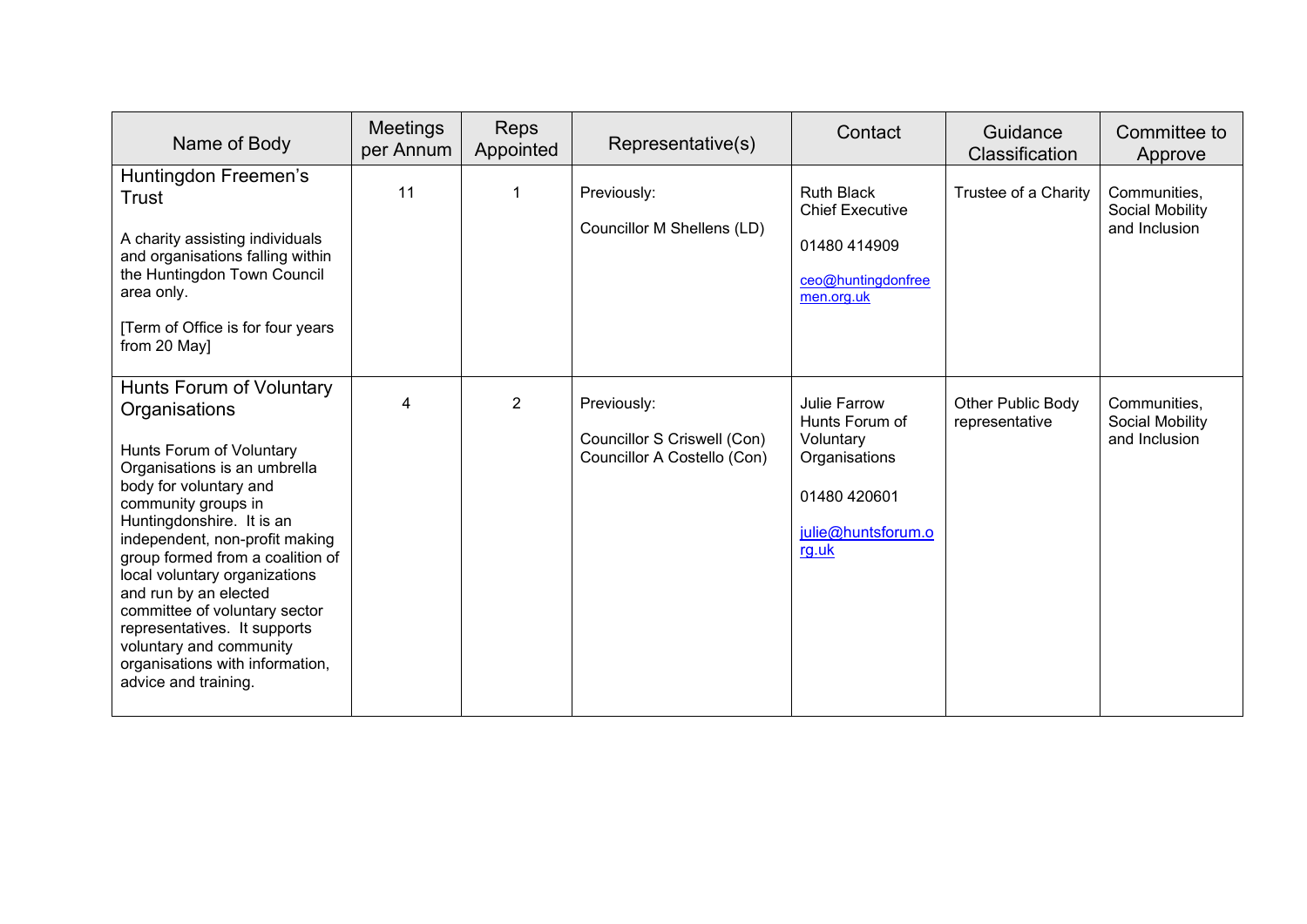| Name of Body                                                                                                                                                                                                                                                                                                                                                                                                                                                               | <b>Meetings</b><br>per Annum | <b>Reps</b><br>Appointed | Representative(s)                                                         | Contact                                                                                                     | Guidance<br><b>Classification</b>   | Committee to<br>Approve                          |
|----------------------------------------------------------------------------------------------------------------------------------------------------------------------------------------------------------------------------------------------------------------------------------------------------------------------------------------------------------------------------------------------------------------------------------------------------------------------------|------------------------------|--------------------------|---------------------------------------------------------------------------|-------------------------------------------------------------------------------------------------------------|-------------------------------------|--------------------------------------------------|
| Huntingdon Freemen's<br>Trust<br>A charity assisting individuals<br>and organisations falling within<br>the Huntingdon Town Council<br>area only.<br>[Term of Office is for four years<br>from 20 May]                                                                                                                                                                                                                                                                     | 11                           | $\mathbf 1$              | Previously:<br>Councillor M Shellens (LD)                                 | <b>Ruth Black</b><br><b>Chief Executive</b><br>01480 414909<br>ceo@huntingdonfree<br>men.org.uk             | Trustee of a Charity                | Communities,<br>Social Mobility<br>and Inclusion |
| Hunts Forum of Voluntary<br>Organisations<br>Hunts Forum of Voluntary<br>Organisations is an umbrella<br>body for voluntary and<br>community groups in<br>Huntingdonshire. It is an<br>independent, non-profit making<br>group formed from a coalition of<br>local voluntary organizations<br>and run by an elected<br>committee of voluntary sector<br>representatives. It supports<br>voluntary and community<br>organisations with information,<br>advice and training. | 4                            | 2                        | Previously:<br>Councillor S Criswell (Con)<br>Councillor A Costello (Con) | Julie Farrow<br>Hunts Forum of<br>Voluntary<br>Organisations<br>01480 420601<br>julie@huntsforum.o<br>rg.uk | Other Public Body<br>representative | Communities,<br>Social Mobility<br>and Inclusion |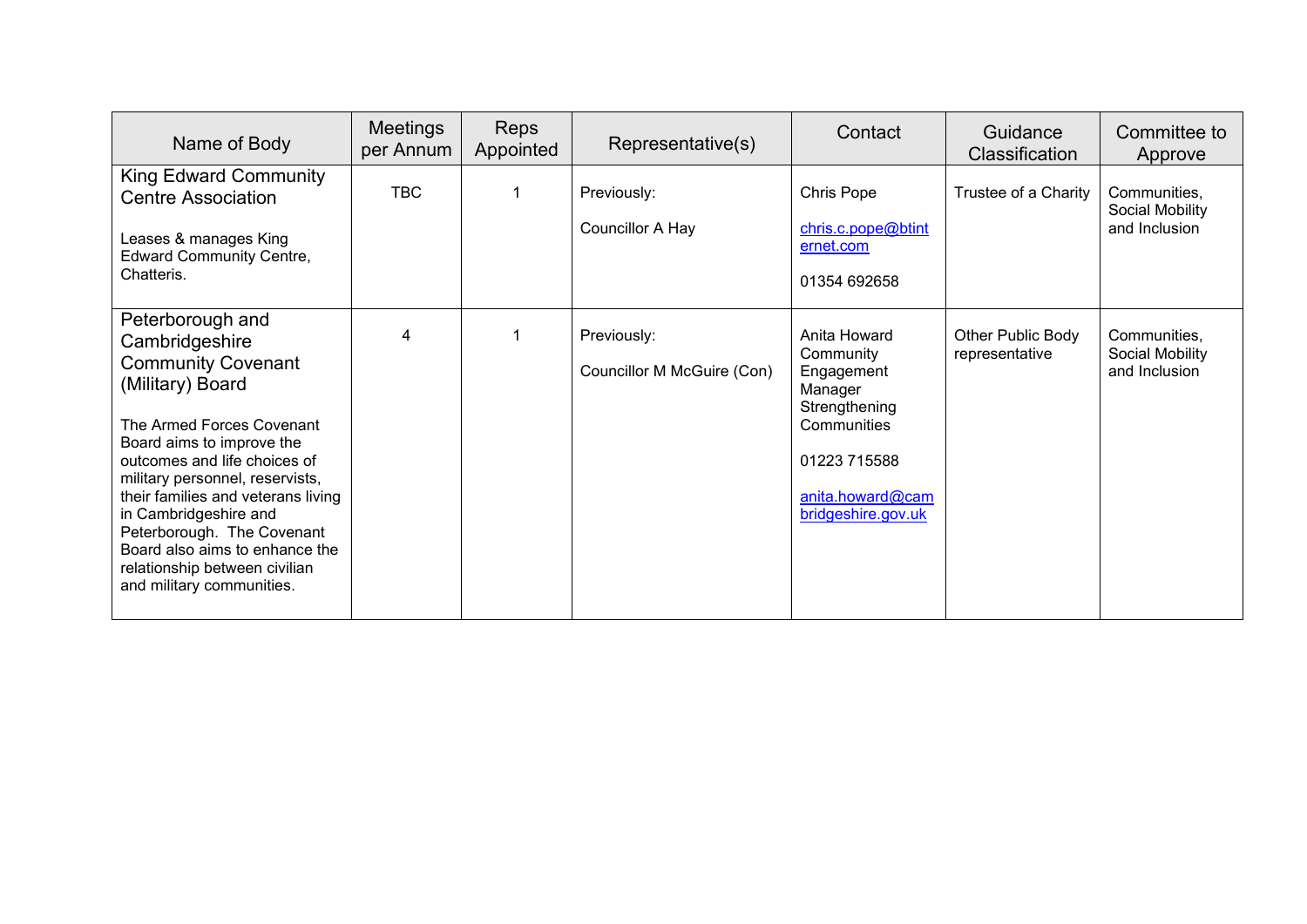| Name of Body                                                                                                                                                                                                                                                                                                                                                                                                  | <b>Meetings</b><br>per Annum | <b>Reps</b><br>Appointed | Representative(s)                         | Contact                                                                                                                                      | Guidance<br><b>Classification</b>   | Committee to<br>Approve                          |
|---------------------------------------------------------------------------------------------------------------------------------------------------------------------------------------------------------------------------------------------------------------------------------------------------------------------------------------------------------------------------------------------------------------|------------------------------|--------------------------|-------------------------------------------|----------------------------------------------------------------------------------------------------------------------------------------------|-------------------------------------|--------------------------------------------------|
| <b>King Edward Community</b><br><b>Centre Association</b>                                                                                                                                                                                                                                                                                                                                                     | <b>TBC</b>                   |                          | Previously:                               | Chris Pope                                                                                                                                   | Trustee of a Charity                | Communities,<br>Social Mobility                  |
| Leases & manages King<br><b>Edward Community Centre,</b><br>Chatteris.                                                                                                                                                                                                                                                                                                                                        |                              |                          | <b>Councillor A Hay</b>                   | chris.c.pope@btint<br>ernet.com<br>01354 692658                                                                                              |                                     | and Inclusion                                    |
| Peterborough and<br>Cambridgeshire<br><b>Community Covenant</b><br>(Military) Board<br>The Armed Forces Covenant<br>Board aims to improve the<br>outcomes and life choices of<br>military personnel, reservists,<br>their families and veterans living<br>in Cambridgeshire and<br>Peterborough. The Covenant<br>Board also aims to enhance the<br>relationship between civilian<br>and military communities. | 4                            |                          | Previously:<br>Councillor M McGuire (Con) | Anita Howard<br>Community<br>Engagement<br>Manager<br>Strengthening<br>Communities<br>01223 715588<br>anita.howard@cam<br>bridgeshire.gov.uk | Other Public Body<br>representative | Communities.<br>Social Mobility<br>and Inclusion |